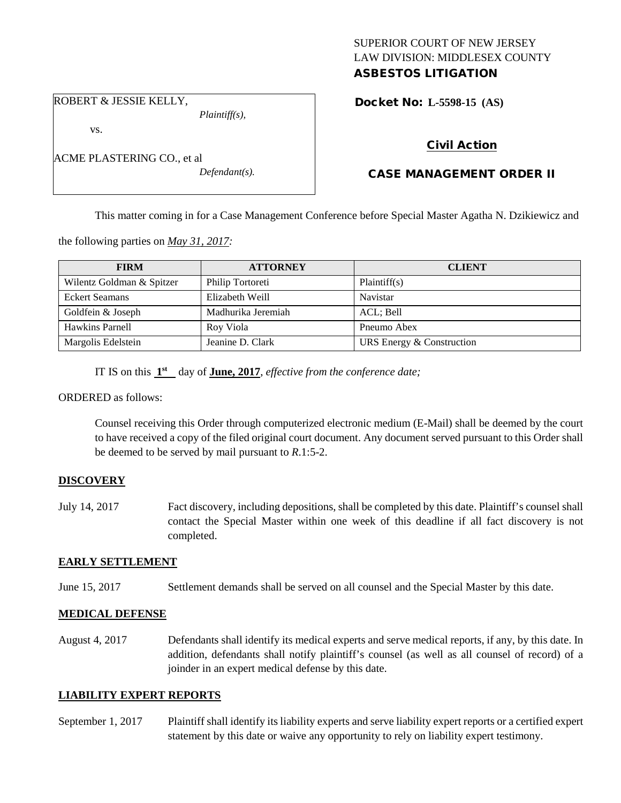## SUPERIOR COURT OF NEW JERSEY LAW DIVISION: MIDDLESEX COUNTY ASBESTOS LITIGATION

ROBERT & JESSIE KELLY, *Plaintiff(s),*

vs.

| ACME PLASTERING CO., et al |                  |
|----------------------------|------------------|
|                            | $Defendant(s)$ . |

Docket No: **L-5598-15 (AS)** 

# Civil Action

# CASE MANAGEMENT ORDER II

This matter coming in for a Case Management Conference before Special Master Agatha N. Dzikiewicz and

the following parties on *May 31, 2017:*

| <b>FIRM</b>               | <b>ATTORNEY</b>    | <b>CLIENT</b>             |
|---------------------------|--------------------|---------------------------|
| Wilentz Goldman & Spitzer | Philip Tortoreti   | Plaintiff(s)              |
| <b>Eckert Seamans</b>     | Elizabeth Weill    | Navistar                  |
| Goldfein & Joseph         | Madhurika Jeremiah | ACL; Bell                 |
| Hawkins Parnell           | Roy Viola          | Pneumo Abex               |
| Margolis Edelstein        | Jeanine D. Clark   | URS Energy & Construction |

IT IS on this **1st** day of **June, 2017**, *effective from the conference date;*

ORDERED as follows:

Counsel receiving this Order through computerized electronic medium (E-Mail) shall be deemed by the court to have received a copy of the filed original court document. Any document served pursuant to this Order shall be deemed to be served by mail pursuant to *R*.1:5-2.

## **DISCOVERY**

July 14, 2017 Fact discovery, including depositions, shall be completed by this date. Plaintiff's counsel shall contact the Special Master within one week of this deadline if all fact discovery is not completed.

## **EARLY SETTLEMENT**

June 15, 2017 Settlement demands shall be served on all counsel and the Special Master by this date.

## **MEDICAL DEFENSE**

August 4, 2017 Defendants shall identify its medical experts and serve medical reports, if any, by this date. In addition, defendants shall notify plaintiff's counsel (as well as all counsel of record) of a joinder in an expert medical defense by this date.

## **LIABILITY EXPERT REPORTS**

September 1, 2017 Plaintiff shall identify its liability experts and serve liability expert reports or a certified expert statement by this date or waive any opportunity to rely on liability expert testimony.